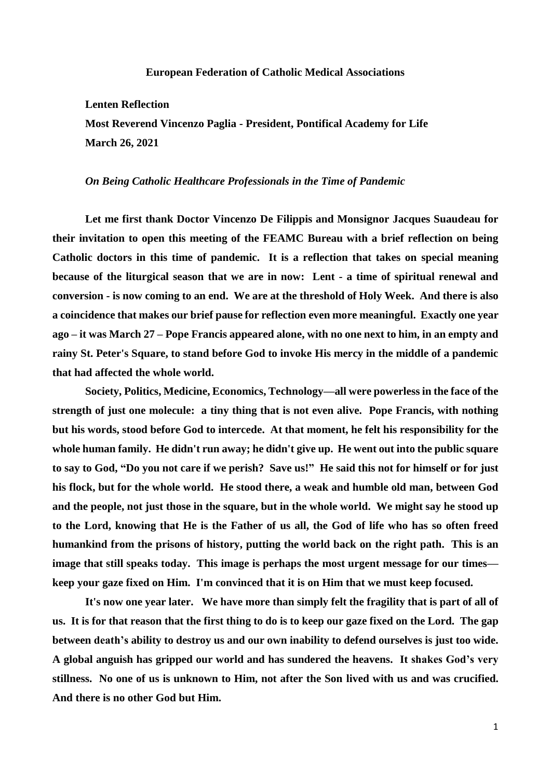## **European Federation of Catholic Medical Associations**

## **Lenten Reflection**

**Most Reverend Vincenzo Paglia - President, Pontifical Academy for Life March 26, 2021**

## *On Being Catholic Healthcare Professionals in the Time of Pandemic*

**Let me first thank Doctor Vincenzo De Filippis and Monsignor Jacques Suaudeau for their invitation to open this meeting of the FEAMC Bureau with a brief reflection on being Catholic doctors in this time of pandemic. It is a reflection that takes on special meaning because of the liturgical season that we are in now: Lent - a time of spiritual renewal and conversion - is now coming to an end. We are at the threshold of Holy Week. And there is also a coincidence that makes our brief pause for reflection even more meaningful. Exactly one year ago – it was March 27 – Pope Francis appeared alone, with no one next to him, in an empty and rainy St. Peter's Square, to stand before God to invoke His mercy in the middle of a pandemic that had affected the whole world.**

**Society, Politics, Medicine, Economics, Technology—all were powerless in the face of the strength of just one molecule: a tiny thing that is not even alive. Pope Francis, with nothing but his words, stood before God to intercede. At that moment, he felt his responsibility for the whole human family. He didn't run away; he didn't give up. He went out into the public square to say to God, "Do you not care if we perish? Save us!" He said this not for himself or for just his flock, but for the whole world. He stood there, a weak and humble old man, between God and the people, not just those in the square, but in the whole world. We might say he stood up to the Lord, knowing that He is the Father of us all, the God of life who has so often freed humankind from the prisons of history, putting the world back on the right path. This is an image that still speaks today. This image is perhaps the most urgent message for our times keep your gaze fixed on Him. I'm convinced that it is on Him that we must keep focused.**

**It's now one year later. We have more than simply felt the fragility that is part of all of us. It is for that reason that the first thing to do is to keep our gaze fixed on the Lord. The gap between death's ability to destroy us and our own inability to defend ourselves is just too wide. A global anguish has gripped our world and has sundered the heavens. It shakes God's very stillness. No one of us is unknown to Him, not after the Son lived with us and was crucified. And there is no other God but Him.**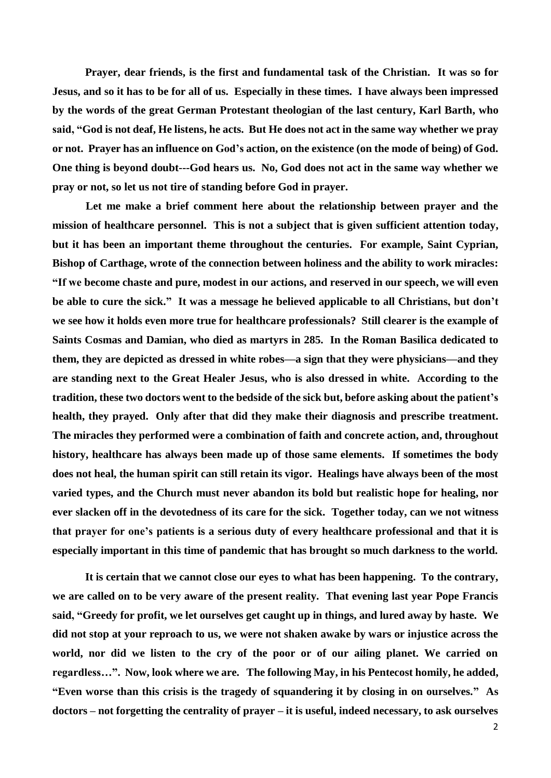**Prayer, dear friends, is the first and fundamental task of the Christian. It was so for Jesus, and so it has to be for all of us. Especially in these times. I have always been impressed by the words of the great German Protestant theologian of the last century, Karl Barth, who said, "God is not deaf, He listens, he acts. But He does not act in the same way whether we pray or not. Prayer has an influence on God's action, on the existence (on the mode of being) of God. One thing is beyond doubt---God hears us. No, God does not act in the same way whether we pray or not, so let us not tire of standing before God in prayer.**

**Let me make a brief comment here about the relationship between prayer and the mission of healthcare personnel. This is not a subject that is given sufficient attention today, but it has been an important theme throughout the centuries. For example, Saint Cyprian, Bishop of Carthage, wrote of the connection between holiness and the ability to work miracles: "If we become chaste and pure, modest in our actions, and reserved in our speech, we will even be able to cure the sick." It was a message he believed applicable to all Christians, but don't we see how it holds even more true for healthcare professionals? Still clearer is the example of Saints Cosmas and Damian, who died as martyrs in 285. In the Roman Basilica dedicated to them, they are depicted as dressed in white robes—a sign that they were physicians—and they are standing next to the Great Healer Jesus, who is also dressed in white. According to the tradition, these two doctors went to the bedside of the sick but, before asking about the patient's health, they prayed. Only after that did they make their diagnosis and prescribe treatment. The miracles they performed were a combination of faith and concrete action, and, throughout history, healthcare has always been made up of those same elements. If sometimes the body does not heal, the human spirit can still retain its vigor. Healings have always been of the most varied types, and the Church must never abandon its bold but realistic hope for healing, nor ever slacken off in the devotedness of its care for the sick. Together today, can we not witness that prayer for one's patients is a serious duty of every healthcare professional and that it is especially important in this time of pandemic that has brought so much darkness to the world.**

**It is certain that we cannot close our eyes to what has been happening. To the contrary, we are called on to be very aware of the present reality. That evening last year Pope Francis said, "Greedy for profit, we let ourselves get caught up in things, and lured away by haste. We did not stop at your reproach to us, we were not shaken awake by wars or injustice across the world, nor did we listen to the cry of the poor or of our ailing planet. We carried on regardless…". Now, look where we are. The following May, in his Pentecost homily, he added, "Even worse than this crisis is the tragedy of squandering it by closing in on ourselves." As doctors – not forgetting the centrality of prayer – it is useful, indeed necessary, to ask ourselves**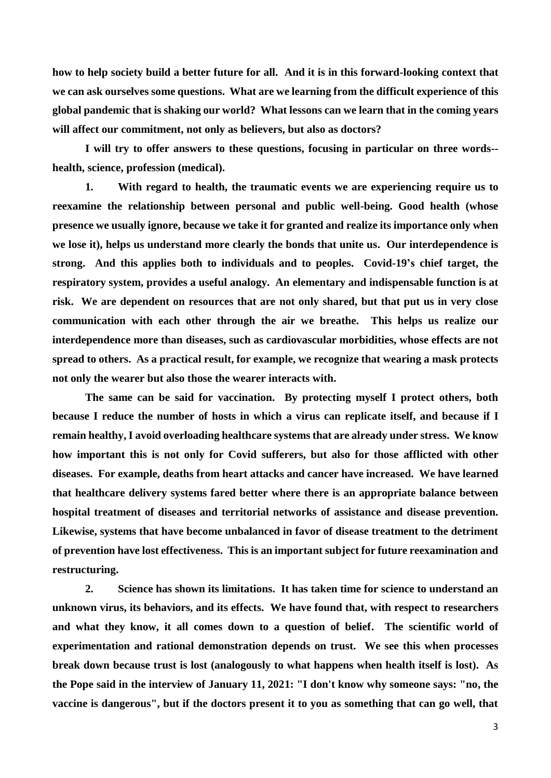**how to help society build a better future for all. And it is in this forward-looking context that we can ask ourselves some questions. What are we learning from the difficult experience of this global pandemic that is shaking our world? What lessons can we learn that in the coming years will affect our commitment, not only as believers, but also as doctors?**

**I will try to offer answers to these questions, focusing in particular on three words- health, science, profession (medical).**

**1. With regard to health, the traumatic events we are experiencing require us to reexamine the relationship between personal and public well-being. Good health (whose presence we usually ignore, because we take it for granted and realize its importance only when we lose it), helps us understand more clearly the bonds that unite us. Our interdependence is strong. And this applies both to individuals and to peoples. Covid-19's chief target, the respiratory system, provides a useful analogy. An elementary and indispensable function is at risk. We are dependent on resources that are not only shared, but that put us in very close communication with each other through the air we breathe. This helps us realize our interdependence more than diseases, such as cardiovascular morbidities, whose effects are not spread to others. As a practical result, for example, we recognize that wearing a mask protects not only the wearer but also those the wearer interacts with.**

**The same can be said for vaccination. By protecting myself I protect others, both because I reduce the number of hosts in which a virus can replicate itself, and because if I remain healthy, I avoid overloading healthcare systems that are already under stress. We know how important this is not only for Covid sufferers, but also for those afflicted with other diseases. For example, deaths from heart attacks and cancer have increased. We have learned that healthcare delivery systems fared better where there is an appropriate balance between hospital treatment of diseases and territorial networks of assistance and disease prevention. Likewise, systems that have become unbalanced in favor of disease treatment to the detriment of prevention have lost effectiveness. This is an important subject for future reexamination and restructuring.**

**2. Science has shown its limitations. It has taken time for science to understand an unknown virus, its behaviors, and its effects. We have found that, with respect to researchers and what they know, it all comes down to a question of belief. The scientific world of experimentation and rational demonstration depends on trust. We see this when processes break down because trust is lost (analogously to what happens when health itself is lost). As the Pope said in the interview of January 11, 2021: "I don't know why someone says: "no, the vaccine is dangerous", but if the doctors present it to you as something that can go well, that**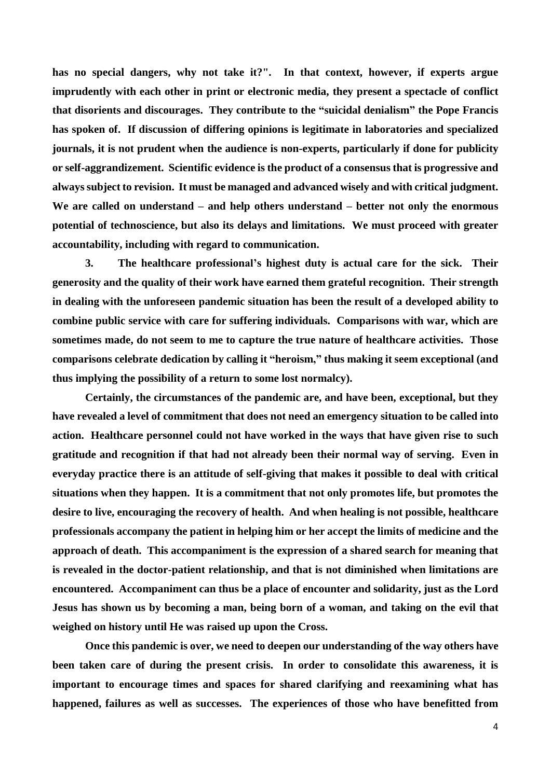**has no special dangers, why not take it?". In that context, however, if experts argue imprudently with each other in print or electronic media, they present a spectacle of conflict that disorients and discourages. They contribute to the "suicidal denialism" the Pope Francis has spoken of. If discussion of differing opinions is legitimate in laboratories and specialized journals, it is not prudent when the audience is non-experts, particularly if done for publicity or self-aggrandizement. Scientific evidence is the product of a consensus that is progressive and always subject to revision. It must be managed and advanced wisely and with critical judgment. We are called on understand – and help others understand – better not only the enormous potential of technoscience, but also its delays and limitations. We must proceed with greater accountability, including with regard to communication.** 

**3. The healthcare professional's highest duty is actual care for the sick. Their generosity and the quality of their work have earned them grateful recognition. Their strength in dealing with the unforeseen pandemic situation has been the result of a developed ability to combine public service with care for suffering individuals. Comparisons with war, which are sometimes made, do not seem to me to capture the true nature of healthcare activities. Those comparisons celebrate dedication by calling it "heroism," thus making it seem exceptional (and thus implying the possibility of a return to some lost normalcy).**

**Certainly, the circumstances of the pandemic are, and have been, exceptional, but they have revealed a level of commitment that does not need an emergency situation to be called into action. Healthcare personnel could not have worked in the ways that have given rise to such gratitude and recognition if that had not already been their normal way of serving. Even in everyday practice there is an attitude of self-giving that makes it possible to deal with critical situations when they happen. It is a commitment that not only promotes life, but promotes the desire to live, encouraging the recovery of health. And when healing is not possible, healthcare professionals accompany the patient in helping him or her accept the limits of medicine and the approach of death. This accompaniment is the expression of a shared search for meaning that is revealed in the doctor-patient relationship, and that is not diminished when limitations are encountered. Accompaniment can thus be a place of encounter and solidarity, just as the Lord Jesus has shown us by becoming a man, being born of a woman, and taking on the evil that weighed on history until He was raised up upon the Cross.**

**Once this pandemic is over, we need to deepen our understanding of the way others have been taken care of during the present crisis. In order to consolidate this awareness, it is important to encourage times and spaces for shared clarifying and reexamining what has happened, failures as well as successes. The experiences of those who have benefitted from**